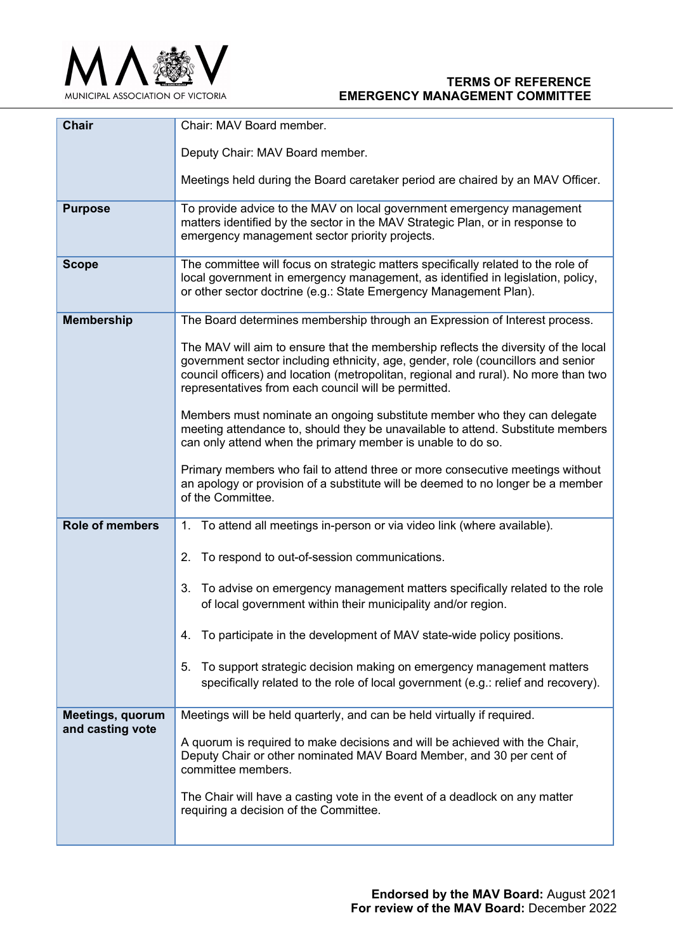

## **TERMS OF REFERENCE EMERGENCY MANAGEMENT COMMITTEE**

| <b>Chair</b>            | Chair: MAV Board member.                                                                                                                                                                                                                                                                                              |
|-------------------------|-----------------------------------------------------------------------------------------------------------------------------------------------------------------------------------------------------------------------------------------------------------------------------------------------------------------------|
|                         | Deputy Chair: MAV Board member.                                                                                                                                                                                                                                                                                       |
|                         | Meetings held during the Board caretaker period are chaired by an MAV Officer.                                                                                                                                                                                                                                        |
| <b>Purpose</b>          | To provide advice to the MAV on local government emergency management<br>matters identified by the sector in the MAV Strategic Plan, or in response to<br>emergency management sector priority projects.                                                                                                              |
| <b>Scope</b>            | The committee will focus on strategic matters specifically related to the role of<br>local government in emergency management, as identified in legislation, policy,<br>or other sector doctrine (e.g.: State Emergency Management Plan).                                                                             |
| <b>Membership</b>       | The Board determines membership through an Expression of Interest process.                                                                                                                                                                                                                                            |
|                         | The MAV will aim to ensure that the membership reflects the diversity of the local<br>government sector including ethnicity, age, gender, role (councillors and senior<br>council officers) and location (metropolitan, regional and rural). No more than two<br>representatives from each council will be permitted. |
|                         | Members must nominate an ongoing substitute member who they can delegate<br>meeting attendance to, should they be unavailable to attend. Substitute members<br>can only attend when the primary member is unable to do so.                                                                                            |
|                         | Primary members who fail to attend three or more consecutive meetings without<br>an apology or provision of a substitute will be deemed to no longer be a member<br>of the Committee.                                                                                                                                 |
| <b>Role of members</b>  | 1. To attend all meetings in-person or via video link (where available).                                                                                                                                                                                                                                              |
|                         | To respond to out-of-session communications.<br>2.                                                                                                                                                                                                                                                                    |
|                         | 3.<br>To advise on emergency management matters specifically related to the role<br>of local government within their municipality and/or region.                                                                                                                                                                      |
|                         | To participate in the development of MAV state-wide policy positions.<br>4.                                                                                                                                                                                                                                           |
|                         | To support strategic decision making on emergency management matters<br>5.<br>specifically related to the role of local government (e.g.: relief and recovery).                                                                                                                                                       |
| <b>Meetings, quorum</b> | Meetings will be held quarterly, and can be held virtually if required.                                                                                                                                                                                                                                               |
| and casting vote        | A quorum is required to make decisions and will be achieved with the Chair,<br>Deputy Chair or other nominated MAV Board Member, and 30 per cent of<br>committee members.                                                                                                                                             |
|                         | The Chair will have a casting vote in the event of a deadlock on any matter<br>requiring a decision of the Committee.                                                                                                                                                                                                 |